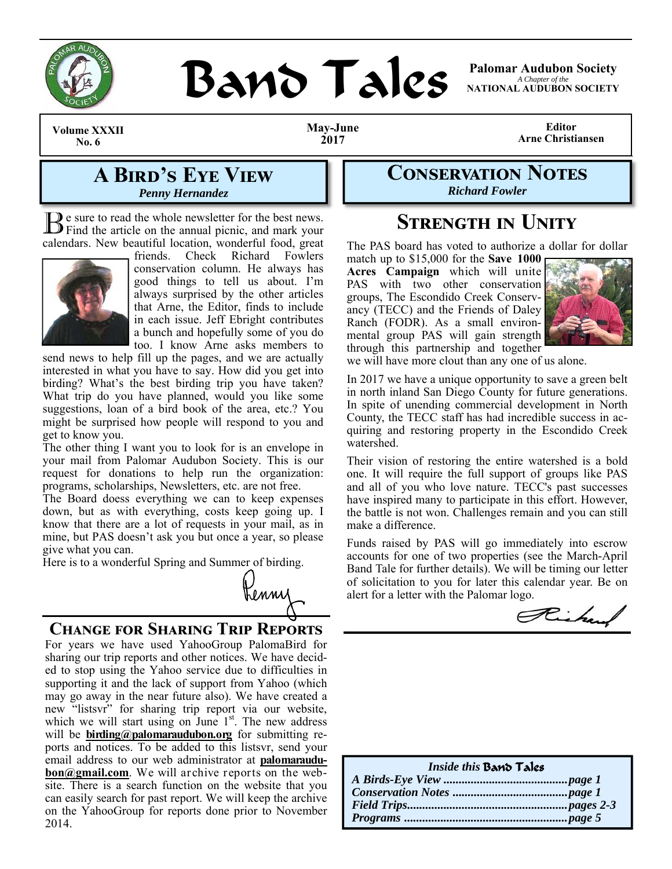

# **BAND TAICS Palomar Audubon Society**

*A Chapter of the*  **NATIONAL AUDUBON SOCIETY** 

**Volume XXXII No. 6** 

**May-June 2017** 

**Editor Arne Christiansen** 

# **A BIRD'S EYE VIEW** *Penny Hernandez*

B e sure to read the whole newsletter for the best news. Find the article on the annual picnic, and mark your calendars. New beautiful location, wonderful food, great



friends. Check Richard Fowlers conservation column. He always has good things to tell us about. I'm always surprised by the other articles that Arne, the Editor, finds to include in each issue. Jeff Ebright contributes a bunch and hopefully some of you do too. I know Arne asks members to

send news to help fill up the pages, and we are actually interested in what you have to say. How did you get into birding? What's the best birding trip you have taken? What trip do you have planned, would you like some suggestions, loan of a bird book of the area, etc.? You might be surprised how people will respond to you and get to know you.

The other thing I want you to look for is an envelope in your mail from Palomar Audubon Society. This is our request for donations to help run the organization: programs, scholarships, Newsletters, etc. are not free.

The Board doess everything we can to keep expenses down, but as with everything, costs keep going up. I know that there are a lot of requests in your mail, as in mine, but PAS doesn't ask you but once a year, so please give what you can.

Here is to a wonderful Spring and Summer of birding.



## **CHANGE FOR SHARING TRIP REPORTS**

For years we have used YahooGroup PalomaBird for sharing our trip reports and other notices. We have decided to stop using the Yahoo service due to difficulties in supporting it and the lack of support from Yahoo (which may go away in the near future also). We have created a new "listsvr" for sharing trip report via our website, which we will start using on June 1<sup>st</sup>. The new address will be **birding@palomaraudubon.org** for submitting reports and notices. To be added to this listsvr, send your email address to our web administrator at **palomaraudubon@gmail.com**. We will archive reports on the website. There is a search function on the website that you can easily search for past report. We will keep the archive on the YahooGroup for reports done prior to November 2014.

**CONSERVATION NOTES** *Richard Fowler* 

# **STRENGTH IN UNITY**

The PAS board has voted to authorize a dollar for dollar

match up to \$15,000 for the **Save 1000 Acres Campaign** which will unite PAS with two other conservation groups, The Escondido Creek Conservancy (TECC) and the Friends of Daley Ranch (FODR). As a small environmental group PAS will gain strength through this partnership and together



we will have more clout than any one of us alone.

In 2017 we have a unique opportunity to save a green belt in north inland San Diego County for future generations. In spite of unending commercial development in North County, the TECC staff has had incredible success in acquiring and restoring property in the Escondido Creek watershed.

Their vision of restoring the entire watershed is a bold one. It will require the full support of groups like PAS and all of you who love nature. TECC's past successes have inspired many to participate in this effort. However, the battle is not won. Challenges remain and you can still make a difference.

Funds raised by PAS will go immediately into escrow accounts for one of two properties (see the March-April Band Tale for further details). We will be timing our letter of solicitation to you for later this calendar year. Be on alert for a letter with the Palomar logo.

Richard

| Inside this <b>Band Tales</b> |  |
|-------------------------------|--|
|                               |  |
|                               |  |
|                               |  |
|                               |  |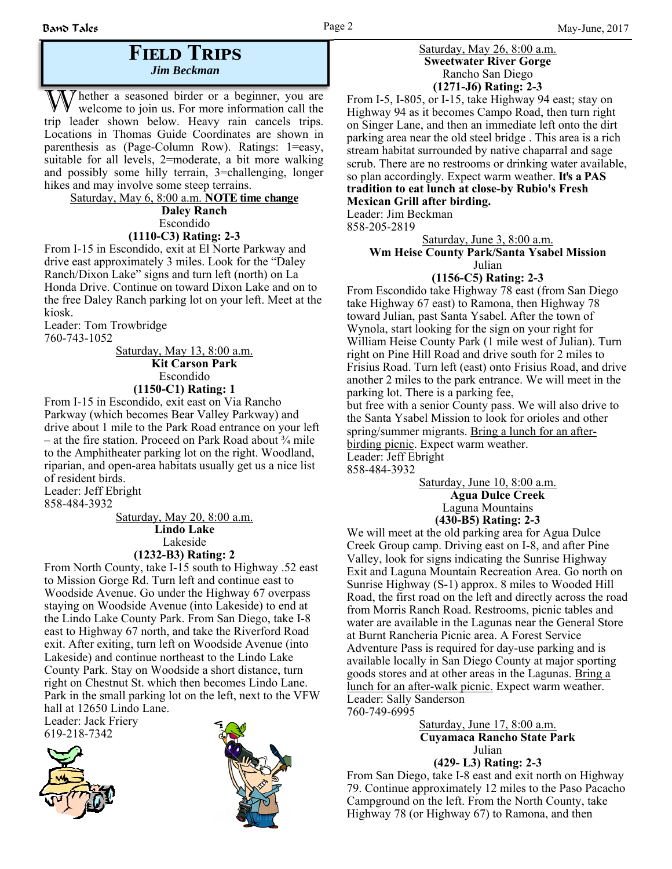## **FIELD TRIPS** *Jim Beckman*

 $\gamma$  hether a seasoned birder or a beginner, you are welcome to join us. For more information call the trip leader shown below. Heavy rain cancels trips. Locations in Thomas Guide Coordinates are shown in parenthesis as (Page-Column Row). Ratings: 1=easy, suitable for all levels, 2=moderate, a bit more walking and possibly some hilly terrain, 3=challenging, longer hikes and may involve some steep terrains.

Saturday, May 6, 8:00 a.m. **NOTE time change Daley Ranch** Escondido **(1110-C3) Rating: 2-3** From I-15 in Escondido, exit at El Norte Parkway and

drive east approximately 3 miles. Look for the "Daley Ranch/Dixon Lake" signs and turn left (north) on La Honda Drive. Continue on toward Dixon Lake and on to the free Daley Ranch parking lot on your left. Meet at the kiosk.

Leader: Tom Trowbridge 760-743-1052

Saturday, May 13, 8:00 a.m.  **Kit Carson Park** Escondido **(1150-C1) Rating: 1**

From I-15 in Escondido, exit east on Via Rancho Parkway (which becomes Bear Valley Parkway) and drive about 1 mile to the Park Road entrance on your left – at the fire station. Proceed on Park Road about  $\frac{3}{4}$  mile to the Amphitheater parking lot on the right. Woodland, riparian, and open-area habitats usually get us a nice list of resident birds.

Leader: Jeff Ebright 858-484-3932

> Saturday, May 20, 8:00 a.m. **Lindo Lake** Lakeside **(1232-B3) Rating: 2**

From North County, take I-15 south to Highway .52 east to Mission Gorge Rd. Turn left and continue east to Woodside Avenue. Go under the Highway 67 overpass staying on Woodside Avenue (into Lakeside) to end at the Lindo Lake County Park. From San Diego, take I-8 east to Highway 67 north, and take the Riverford Road exit. After exiting, turn left on Woodside Avenue (into Lakeside) and continue northeast to the Lindo Lake County Park. Stay on Woodside a short distance, turn right on Chestnut St. which then becomes Lindo Lane. Park in the small parking lot on the left, next to the VFW hall at 12650 Lindo Lane.

Leader: Jack Friery 619-218-7342





#### Saturday, May 26, 8:00 a.m. **Sweetwater River Gorge** Rancho San Diego **(1271-J6) Rating: 2-3**

From I-5, I-805, or I-15, take Highway 94 east; stay on Highway 94 as it becomes Campo Road, then turn right on Singer Lane, and then an immediate left onto the dirt parking area near the old steel bridge . This area is a rich stream habitat surrounded by native chaparral and sage scrub. There are no restrooms or drinking water available, so plan accordingly. Expect warm weather. **It's a PAS tradition to eat lunch at close-by Rubio's Fresh Mexican Grill after birding.**

Leader: Jim Beckman

858-205-2819

Saturday, June 3, 8:00 a.m.

#### **Wm Heise County Park/Santa Ysabel Mission** Julian

**(1156-C5) Rating: 2-3** From Escondido take Highway 78 east (from San Diego take Highway 67 east) to Ramona, then Highway 78 toward Julian, past Santa Ysabel. After the town of Wynola, start looking for the sign on your right for William Heise County Park (1 mile west of Julian). Turn right on Pine Hill Road and drive south for 2 miles to Frisius Road. Turn left (east) onto Frisius Road, and drive another 2 miles to the park entrance. We will meet in the parking lot. There is a parking fee, but free with a senior County pass. We will also drive to the Santa Ysabel Mission to look for orioles and other spring/summer migrants. Bring a lunch for an after-

birding picnic. Expect warm weather. Leader: Jeff Ebright

858-484-3932

Saturday, June 10, 8:00 a.m.  **Agua Dulce Creek** Laguna Mountains **(430-B5) Rating: 2-3**

We will meet at the old parking area for Agua Dulce Creek Group camp. Driving east on I-8, and after Pine Valley, look for signs indicating the Sunrise Highway Exit and Laguna Mountain Recreation Area. Go north on Sunrise Highway (S-1) approx. 8 miles to Wooded Hill Road, the first road on the left and directly across the road from Morris Ranch Road. Restrooms, picnic tables and water are available in the Lagunas near the General Store at Burnt Rancheria Picnic area. A Forest Service Adventure Pass is required for day-use parking and is available locally in San Diego County at major sporting goods stores and at other areas in the Lagunas. Bring a lunch for an after-walk picnic. Expect warm weather. Leader: Sally Sanderson 760-749-6995

#### Saturday, June 17, 8:00 a.m.  **Cuyamaca Rancho State Park** Julian **(429- L3) Rating: 2-3**

From San Diego, take I-8 east and exit north on Highway 79. Continue approximately 12 miles to the Paso Pacacho Campground on the left. From the North County, take Highway 78 (or Highway 67) to Ramona, and then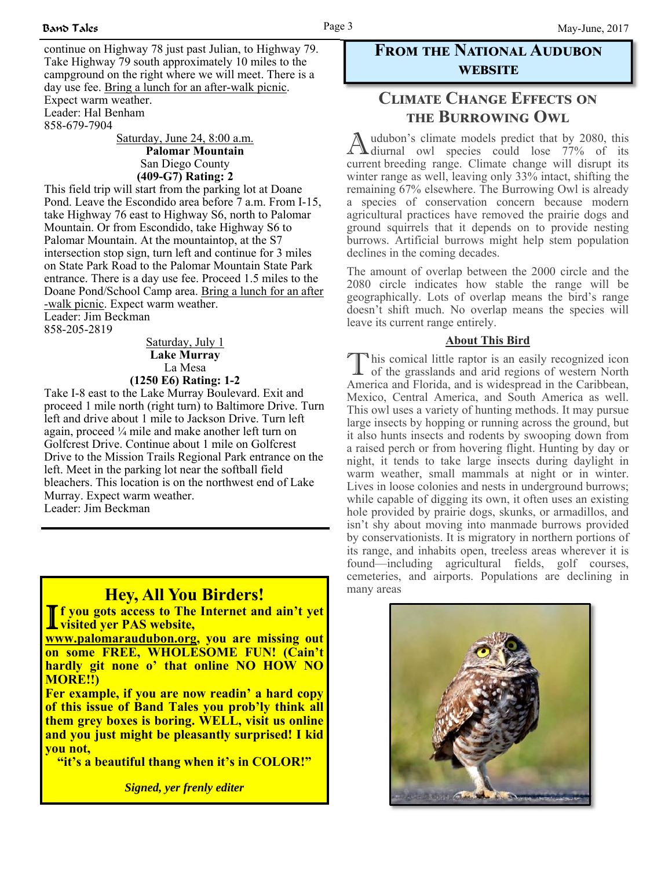continue on Highway 78 just past Julian, to Highway 79. Take Highway 79 south approximately 10 miles to the campground on the right where we will meet. There is a day use fee. Bring a lunch for an after-walk picnic. Expect warm weather.

Leader: Hal Benham 858-679-7904

> Saturday, June 24, 8:00 a.m.  **Palomar Mountain** San Diego County **(409-G7) Rating: 2**

This field trip will start from the parking lot at Doane Pond. Leave the Escondido area before 7 a.m. From I-15, take Highway 76 east to Highway S6, north to Palomar Mountain. Or from Escondido, take Highway S6 to Palomar Mountain. At the mountaintop, at the S7 intersection stop sign, turn left and continue for 3 miles on State Park Road to the Palomar Mountain State Park entrance. There is a day use fee. Proceed 1.5 miles to the Doane Pond/School Camp area. Bring a lunch for an after -walk picnic. Expect warm weather. Leader: Jim Beckman 858-205-2819

> Saturday, July 1 **Lake Murray** La Mesa **(1250 E6) Rating: 1-2**

Take I-8 east to the Lake Murray Boulevard. Exit and proceed 1 mile north (right turn) to Baltimore Drive. Turn left and drive about 1 mile to Jackson Drive. Turn left again, proceed ¼ mile and make another left turn on Golfcrest Drive. Continue about 1 mile on Golfcrest Drive to the Mission Trails Regional Park entrance on the left. Meet in the parking lot near the softball field bleachers. This location is on the northwest end of Lake Murray. Expect warm weather. Leader: Jim Beckman

# **Hey, All You Birders!**

**T** f you gots access to The Internet and ain't yet **visited yer PAS website,** 

**www.palomaraudubon.org, you are missing out on some FREE, WHOLESOME FUN! (Cain't hardly git none o' that online NO HOW NO MORE!!)** 

**Fer example, if you are now readin' a hard copy of this issue of Band Tales you prob'ly think all them grey boxes is boring. WELL, visit us online and you just might be pleasantly surprised! I kid you not,** 

**"it's a beautiful thang when it's in COLOR!"** 

*Signed, yer frenly editer* 

## **FROM THE NATIONAL AUDUBON WEBSITE**

## **CLIMATE CHANGE EFFECTS ON THE BURROWING OWL**

A udubon's climate models predict that by 2080, this diurnal owl species could lose 77% of its current breeding range. Climate change will disrupt its winter range as well, leaving only 33% intact, shifting the remaining 67% elsewhere. The Burrowing Owl is already a species of conservation concern because modern agricultural practices have removed the prairie dogs and ground squirrels that it depends on to provide nesting burrows. Artificial burrows might help stem population declines in the coming decades.

The amount of overlap between the 2000 circle and the 2080 circle indicates how stable the range will be geographically. Lots of overlap means the bird's range doesn't shift much. No overlap means the species will leave its current range entirely.

#### **About This Bird**

This comical little raptor is an easily recognized icon of the grasslands and arid regions of western North America and Florida, and is widespread in the Caribbean, Mexico, Central America, and South America as well. This owl uses a variety of hunting methods. It may pursue large insects by hopping or running across the ground, but it also hunts insects and rodents by swooping down from a raised perch or from hovering flight. Hunting by day or night, it tends to take large insects during daylight in warm weather, small mammals at night or in winter. Lives in loose colonies and nests in underground burrows; while capable of digging its own, it often uses an existing hole provided by prairie dogs, skunks, or armadillos, and isn't shy about moving into manmade burrows provided by conservationists. It is migratory in northern portions of its range, and inhabits open, treeless areas wherever it is found—including agricultural fields, golf courses, cemeteries, and airports. Populations are declining in many areas

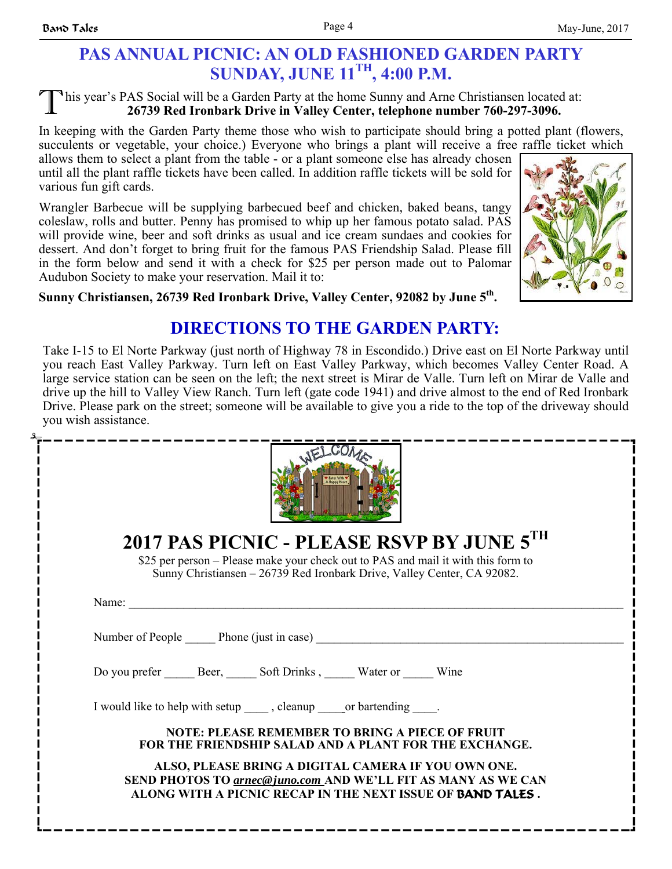#### his year's PAS Social will be a Garden Party at the home Sunny and Arne Christiansen located at: **26739 Red Ironbark Drive in Valley Center, telephone number 760-297-3096.**

In keeping with the Garden Party theme those who wish to participate should bring a potted plant (flowers, succulents or vegetable, your choice.) Everyone who brings a plant will receive a free raffle ticket which

allows them to select a plant from the table - or a plant someone else has already chosen until all the plant raffle tickets have been called. In addition raffle tickets will be sold for various fun gift cards.

Wrangler Barbecue will be supplying barbecued beef and chicken, baked beans, tangy coleslaw, rolls and butter. Penny has promised to whip up her famous potato salad. PAS will provide wine, beer and soft drinks as usual and ice cream sundaes and cookies for dessert. And don't forget to bring fruit for the famous PAS Friendship Salad. Please fill in the form below and send it with a check for \$25 per person made out to Palomar Audubon Society to make your reservation. Mail it to:



**Sunny Christiansen, 26739 Red Ironbark Drive, Valley Center, 92082 by June 5th.** 

# **DIRECTIONS TO THE GARDEN PARTY:**

Take I-15 to El Norte Parkway (just north of Highway 78 in Escondido.) Drive east on El Norte Parkway until you reach East Valley Parkway. Turn left on East Valley Parkway, which becomes Valley Center Road. A large service station can be seen on the left; the next street is Mirar de Valle. Turn left on Mirar de Valle and drive up the hill to Valley View Ranch. Turn left (gate code 1941) and drive almost to the end of Red Ironbark Drive. Please park on the street; someone will be available to give you a ride to the top of the driveway should you wish assistance.

|                                                                                                                                    | 2017 PAS PICNIC - PLEASE RSVP BY JUNE 5TH                                                                                                                    |  |
|------------------------------------------------------------------------------------------------------------------------------------|--------------------------------------------------------------------------------------------------------------------------------------------------------------|--|
|                                                                                                                                    | \$25 per person – Please make your check out to PAS and mail it with this form to<br>Sunny Christiansen - 26739 Red Ironbark Drive, Valley Center, CA 92082. |  |
|                                                                                                                                    | Name: $\qquad \qquad \qquad$                                                                                                                                 |  |
|                                                                                                                                    | Number of People Phone (just in case)                                                                                                                        |  |
|                                                                                                                                    | Do you prefer ________ Beer, _______ Soft Drinks, _______ Water or _______ Wine                                                                              |  |
|                                                                                                                                    | I would like to help with setup ______, cleanup ______or bartending _____.                                                                                   |  |
|                                                                                                                                    | <b>NOTE: PLEASE REMEMBER TO BRING A PIECE OF FRUIT</b><br>FOR THE FRIENDSHIP SALAD AND A PLANT FOR THE EXCHANGE.                                             |  |
| ALSO, PLEASE BRING A DIGITAL CAMERA IF YOU OWN ONE.<br><b>SEND PHOTOS TO <i>arnec@juno.com</i></b> AND WE'LL FIT AS MANY AS WE CAN |                                                                                                                                                              |  |
|                                                                                                                                    | ALONG WITH A PICNIC RECAP IN THE NEXT ISSUE OF <b>BAND TALES</b> .                                                                                           |  |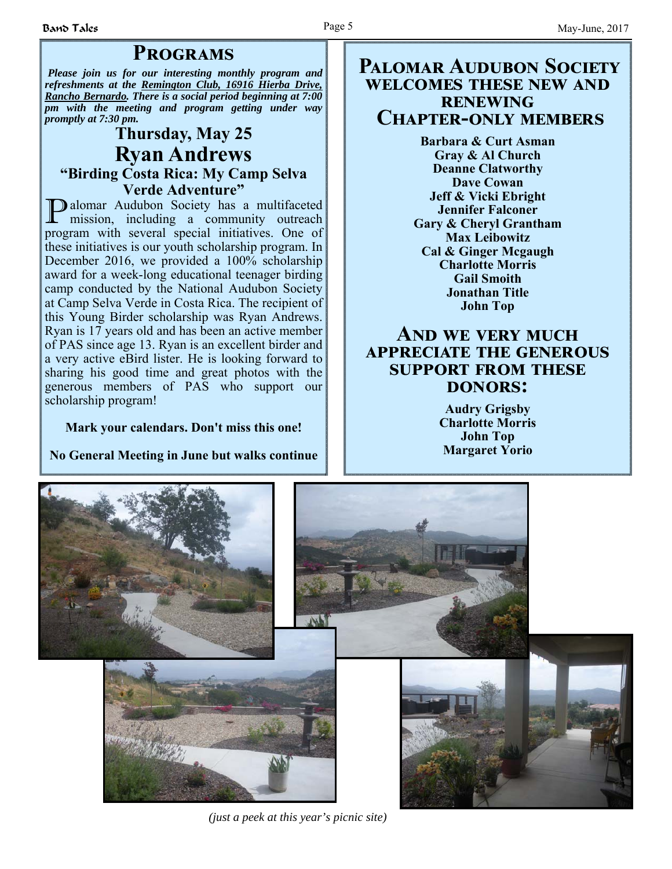# **PROGRAMS**

*Please join us for our interesting monthly program and refreshments at the Remington Club, 16916 Hierba Drive, Rancho Bernardo. There is a social period beginning at 7:00 pm with the meeting and program getting under way promptly at 7:30 pm.*

# **Thursday, May 25 Ryan Andrews "Birding Costa Rica: My Camp Selva Verde Adventure"**

P alomar Audubon Society has a multifaceted mission, including a community outreach program with several special initiatives. One of these initiatives is our youth scholarship program. In December 2016, we provided a 100% scholarship award for a week-long educational teenager birding camp conducted by the National Audubon Society at Camp Selva Verde in Costa Rica. The recipient of this Young Birder scholarship was Ryan Andrews. Ryan is 17 years old and has been an active member of PAS since age 13. Ryan is an excellent birder and a very active eBird lister. He is looking forward to sharing his good time and great photos with the generous members of PAS who support our scholarship program!

#### **Mark your calendars. Don't miss this one!**

**No General Meeting in June but walks continue**

## **PALOMAR AUDUBON SOCIETY WELCOMES THESE NEW AND RENEWING CHAPTER-ONLY MEMBERS**

**Barbara & Curt Asman Gray & Al Church Deanne Clatworthy Dave Cowan Jeff & Vicki Ebright Jennifer Falconer Gary & Cheryl Grantham Max Leibowitz Cal & Ginger Mcgaugh Charlotte Morris Gail Smoith Jonathan Title John Top**

# **AND WE VERY MUCH APPRECIATE THE GENEROUS SUPPORT FROM THESE DONORS:**

**Audry Grigsby Charlotte Morris John Top Margaret Yorio** 



*(just a peek at this year's picnic site)*